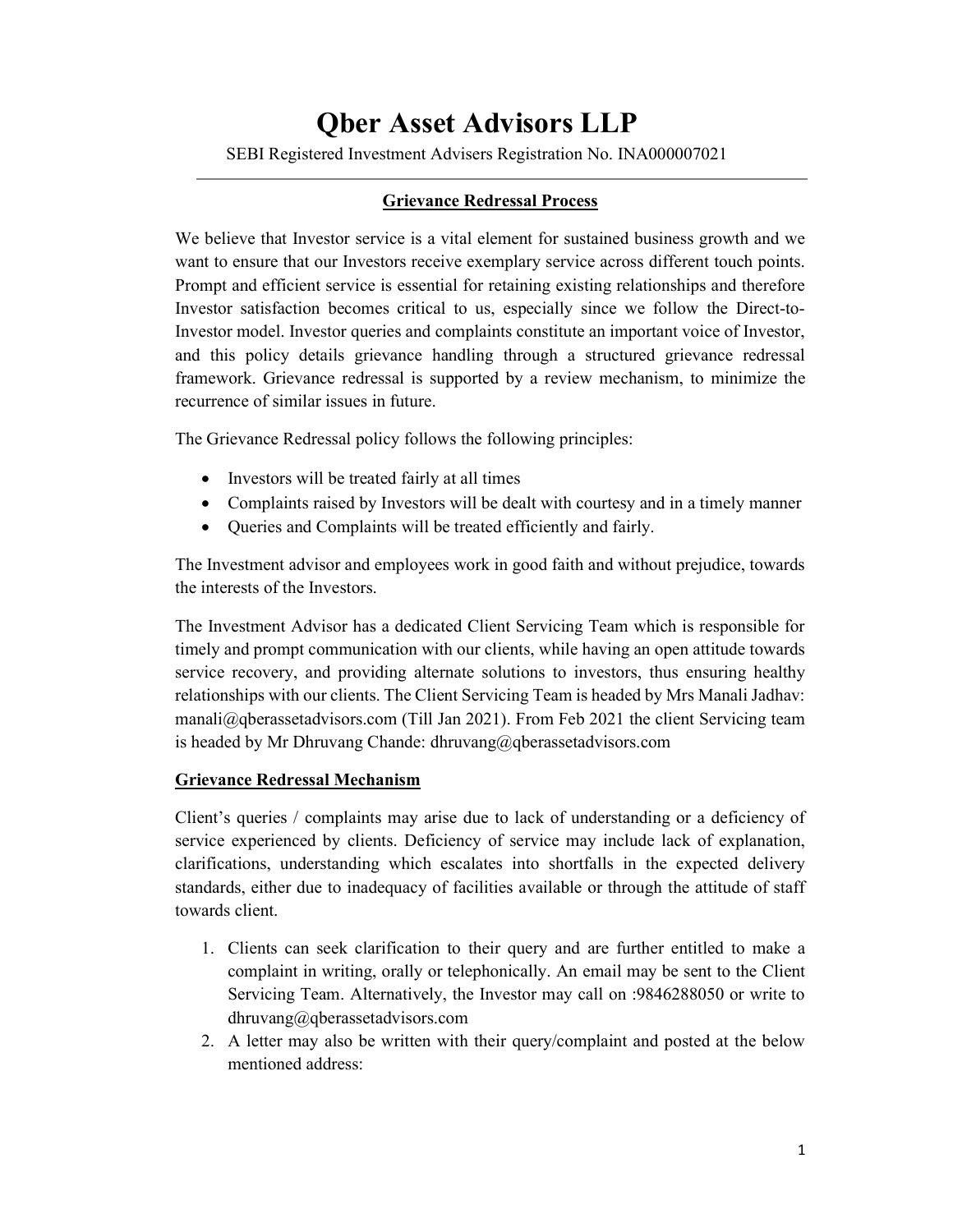## Qber Asset Advisors LLP

SEBI Registered Investment Advisers Registration No. INA000007021

## Grievance Redressal Process

We believe that Investor service is a vital element for sustained business growth and we want to ensure that our Investors receive exemplary service across different touch points. Prompt and efficient service is essential for retaining existing relationships and therefore Investor satisfaction becomes critical to us, especially since we follow the Direct-to-Investor model. Investor queries and complaints constitute an important voice of Investor, and this policy details grievance handling through a structured grievance redressal framework. Grievance redressal is supported by a review mechanism, to minimize the recurrence of similar issues in future.

The Grievance Redressal policy follows the following principles:

- Investors will be treated fairly at all times
- Complaints raised by Investors will be dealt with courtesy and in a timely manner
- Queries and Complaints will be treated efficiently and fairly.

The Investment advisor and employees work in good faith and without prejudice, towards the interests of the Investors.

The Investment Advisor has a dedicated Client Servicing Team which is responsible for timely and prompt communication with our clients, while having an open attitude towards service recovery, and providing alternate solutions to investors, thus ensuring healthy relationships with our clients. The Client Servicing Team is headed by Mrs Manali Jadhav: manali@qberassetadvisors.com (Till Jan 2021). From Feb 2021 the client Servicing team is headed by Mr Dhruvang Chande: dhruvang@qberassetadvisors.com

## Grievance Redressal Mechanism

Client's queries / complaints may arise due to lack of understanding or a deficiency of service experienced by clients. Deficiency of service may include lack of explanation, clarifications, understanding which escalates into shortfalls in the expected delivery standards, either due to inadequacy of facilities available or through the attitude of staff towards client.

- 1. Clients can seek clarification to their query and are further entitled to make a complaint in writing, orally or telephonically. An email may be sent to the Client Servicing Team. Alternatively, the Investor may call on :9846288050 or write to dhruvang@qberassetadvisors.com
- 2. A letter may also be written with their query/complaint and posted at the below mentioned address: